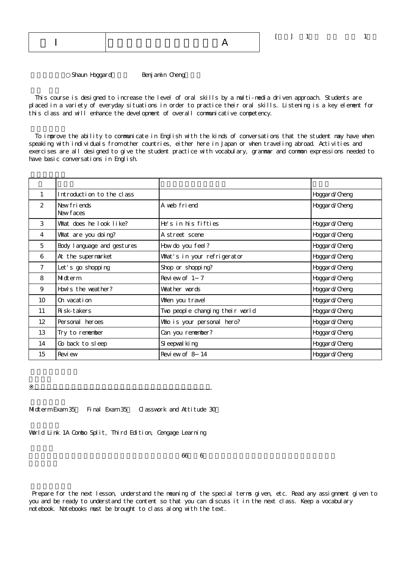Shaun Hoggard
Benjamin Cheng

 This course is designed to increase the level of oral skills by a multi-media driven approach. Students are placed in a variety of everyday situations in order to practice their oral skills. Listening is a key element for this class and will enhance the development of overall communicative competency.

 To improve the ability to communicate in English with the kinds of conversations that the student may have when speaking with individuals from other countries, either here in Japan or when traveling abroad. Activities and exercises are all designed to give the student practice with vocabulary, grammar and common expressions needed to have basic conversations in English.

| 1                 | Introduction to the class   |                                 | Hoggar d/Cheng |
|-------------------|-----------------------------|---------------------------------|----------------|
| $\mathcal{P}$     | New friends<br>New faces    | A web friend                    | Hoggar d/Cheng |
| 3                 | What does he look like?     | He's in his fifties             | Hoggar d/Cheng |
| 4                 | What are you doing?         | A street scene                  | Hoggar d/Cheng |
| 5                 | Body I anguage and gestures | How do you feel?                | Hoggar d/Cheng |
| 6                 | At the supermarket          | What's in your refrigerator     | Hoggar d/Cheng |
| $7^{\circ}$       | Let's go shopping           | Shop or shopping?               | Hoggar d/Cheng |
| 8                 | Midterm                     | Review of 1 7                   | Hoggar d/Cheng |
| 9                 | How's the weather?          | Weather words                   | Hoggar d/Cheng |
| 10                | On vacation                 | When you travel                 | Hoggar d/Cheng |
| 11                | Ri sk-takers                | Two people changing their world | Hoggar d/Cheng |
| $12 \overline{ }$ | Personal heroes             | Who is your personal hero?      | Hoggar d/Cheng |
| 13                | Try to remember             | Can you remember?               | Hoggar d/Cheng |
| 14                | Go back to sleep            | SI eepval king                  | Hoggar d/Cheng |
| 15                | Revi ew                     | Review of 8 14                  | Hoggar d/Cheng |

Midterm Exam 35 Final Exam 35 Classwork and Attitude 30

 $\mathbb{R}^d$  , and the set of the set of the set of the set of the set of the set of the set of the set of the set of the set of the set of the set of the set of the set of the set of the set of the set of the set of the se

World Link 1A Combo Split, Third Edition, Cengage Learning

 $\overline{66}$  66  $\overline{6}$ 

 Prepare for the next lesson, understand the meaning of the special terms given, etc. Read any assignment given to you and be ready to understand the content so that you can discuss it in the next class. Keep a vocabulary notebook. Notebooks must be brought to class along with the text.